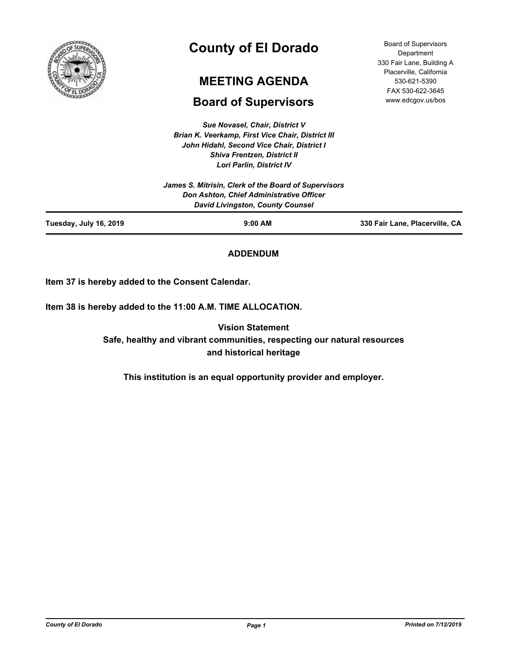

# **County of El Dorado**

## **MEETING AGENDA**

## **Board of Supervisors**

*Sue Novasel, Chair, District V Brian K. Veerkamp, First Vice Chair, District III John Hidahl, Second Vice Chair, District I Shiva Frentzen, District II Lori Parlin, District IV*

Board of Supervisors **Department** 330 Fair Lane, Building A Placerville, California 530-621-5390 FAX 530-622-3645 www.edcgov.us/bos

|                        | James S. Mitrisin, Clerk of the Board of Supervisors                                |                                |
|------------------------|-------------------------------------------------------------------------------------|--------------------------------|
|                        | Don Ashton, Chief Administrative Officer<br><b>David Livingston, County Counsel</b> |                                |
| Tuesday, July 16, 2019 | $9:00$ AM                                                                           | 330 Fair Lane, Placerville, CA |

## **ADDENDUM**

**Item 37 is hereby added to the Consent Calendar.**

**Item 38 is hereby added to the 11:00 A.M. TIME ALLOCATION.**

**Vision Statement Safe, healthy and vibrant communities, respecting our natural resources and historical heritage**

**This institution is an equal opportunity provider and employer.**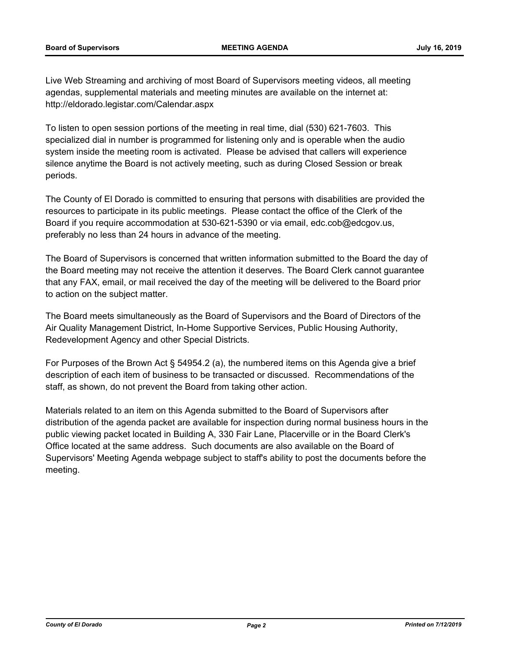Live Web Streaming and archiving of most Board of Supervisors meeting videos, all meeting agendas, supplemental materials and meeting minutes are available on the internet at: http://eldorado.legistar.com/Calendar.aspx

To listen to open session portions of the meeting in real time, dial (530) 621-7603. This specialized dial in number is programmed for listening only and is operable when the audio system inside the meeting room is activated. Please be advised that callers will experience silence anytime the Board is not actively meeting, such as during Closed Session or break periods.

The County of El Dorado is committed to ensuring that persons with disabilities are provided the resources to participate in its public meetings. Please contact the office of the Clerk of the Board if you require accommodation at 530-621-5390 or via email, edc.cob@edcgov.us, preferably no less than 24 hours in advance of the meeting.

The Board of Supervisors is concerned that written information submitted to the Board the day of the Board meeting may not receive the attention it deserves. The Board Clerk cannot guarantee that any FAX, email, or mail received the day of the meeting will be delivered to the Board prior to action on the subject matter.

The Board meets simultaneously as the Board of Supervisors and the Board of Directors of the Air Quality Management District, In-Home Supportive Services, Public Housing Authority, Redevelopment Agency and other Special Districts.

For Purposes of the Brown Act § 54954.2 (a), the numbered items on this Agenda give a brief description of each item of business to be transacted or discussed. Recommendations of the staff, as shown, do not prevent the Board from taking other action.

Materials related to an item on this Agenda submitted to the Board of Supervisors after distribution of the agenda packet are available for inspection during normal business hours in the public viewing packet located in Building A, 330 Fair Lane, Placerville or in the Board Clerk's Office located at the same address. Such documents are also available on the Board of Supervisors' Meeting Agenda webpage subject to staff's ability to post the documents before the meeting.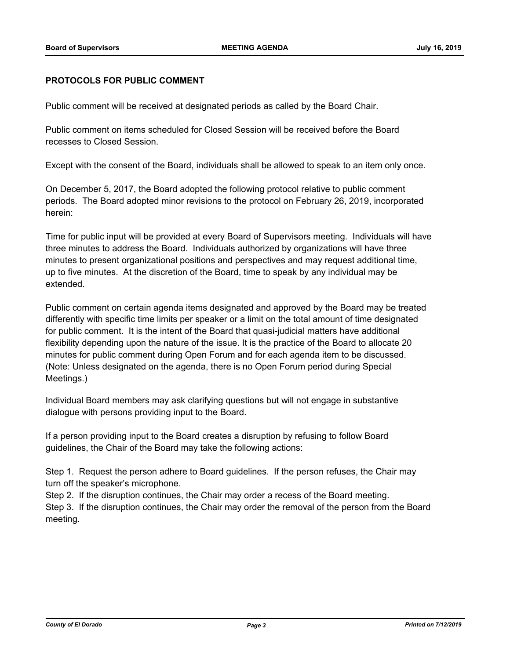### **PROTOCOLS FOR PUBLIC COMMENT**

Public comment will be received at designated periods as called by the Board Chair.

Public comment on items scheduled for Closed Session will be received before the Board recesses to Closed Session.

Except with the consent of the Board, individuals shall be allowed to speak to an item only once.

On December 5, 2017, the Board adopted the following protocol relative to public comment periods. The Board adopted minor revisions to the protocol on February 26, 2019, incorporated herein:

Time for public input will be provided at every Board of Supervisors meeting. Individuals will have three minutes to address the Board. Individuals authorized by organizations will have three minutes to present organizational positions and perspectives and may request additional time, up to five minutes. At the discretion of the Board, time to speak by any individual may be extended.

Public comment on certain agenda items designated and approved by the Board may be treated differently with specific time limits per speaker or a limit on the total amount of time designated for public comment. It is the intent of the Board that quasi-judicial matters have additional flexibility depending upon the nature of the issue. It is the practice of the Board to allocate 20 minutes for public comment during Open Forum and for each agenda item to be discussed. (Note: Unless designated on the agenda, there is no Open Forum period during Special Meetings.)

Individual Board members may ask clarifying questions but will not engage in substantive dialogue with persons providing input to the Board.

If a person providing input to the Board creates a disruption by refusing to follow Board guidelines, the Chair of the Board may take the following actions:

Step 1. Request the person adhere to Board guidelines. If the person refuses, the Chair may turn off the speaker's microphone.

Step 2. If the disruption continues, the Chair may order a recess of the Board meeting.

Step 3. If the disruption continues, the Chair may order the removal of the person from the Board meeting.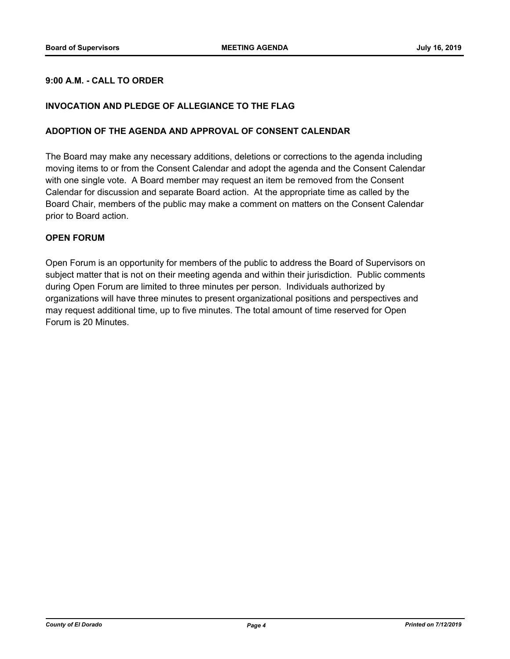## **9:00 A.M. - CALL TO ORDER**

## **INVOCATION AND PLEDGE OF ALLEGIANCE TO THE FLAG**

#### **ADOPTION OF THE AGENDA AND APPROVAL OF CONSENT CALENDAR**

The Board may make any necessary additions, deletions or corrections to the agenda including moving items to or from the Consent Calendar and adopt the agenda and the Consent Calendar with one single vote. A Board member may request an item be removed from the Consent Calendar for discussion and separate Board action. At the appropriate time as called by the Board Chair, members of the public may make a comment on matters on the Consent Calendar prior to Board action.

#### **OPEN FORUM**

Open Forum is an opportunity for members of the public to address the Board of Supervisors on subject matter that is not on their meeting agenda and within their jurisdiction. Public comments during Open Forum are limited to three minutes per person. Individuals authorized by organizations will have three minutes to present organizational positions and perspectives and may request additional time, up to five minutes. The total amount of time reserved for Open Forum is 20 Minutes.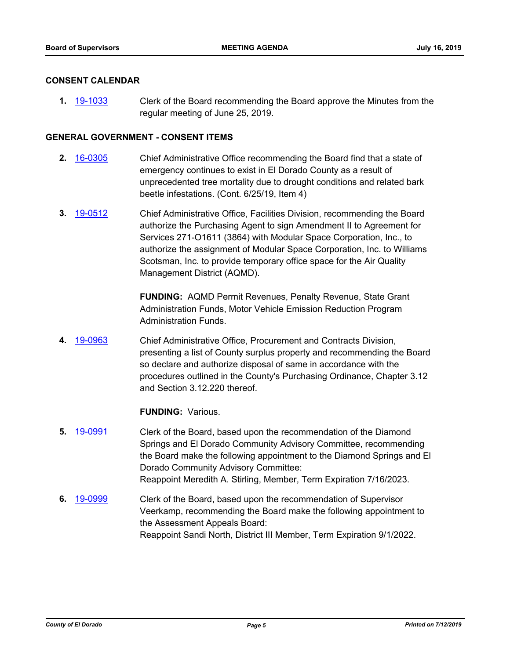#### **CONSENT CALENDAR**

**1.** [19-1033](http://eldorado.legistar.com/gateway.aspx?m=l&id=/matter.aspx?key=26355) Clerk of the Board recommending the Board approve the Minutes from the regular meeting of June 25, 2019.

## **GENERAL GOVERNMENT - CONSENT ITEMS**

- **2.** [16-0305](http://eldorado.legistar.com/gateway.aspx?m=l&id=/matter.aspx?key=20961) Chief Administrative Office recommending the Board find that a state of emergency continues to exist in El Dorado County as a result of unprecedented tree mortality due to drought conditions and related bark beetle infestations. (Cont. 6/25/19, Item 4)
- **3.** [19-0512](http://eldorado.legistar.com/gateway.aspx?m=l&id=/matter.aspx?key=25833) Chief Administrative Office, Facilities Division, recommending the Board authorize the Purchasing Agent to sign Amendment II to Agreement for Services 271-O1611 (3864) with Modular Space Corporation, Inc., to authorize the assignment of Modular Space Corporation, Inc. to Williams Scotsman, Inc. to provide temporary office space for the Air Quality Management District (AQMD).

**FUNDING:** AQMD Permit Revenues, Penalty Revenue, State Grant Administration Funds, Motor Vehicle Emission Reduction Program Administration Funds.

**4.** [19-0963](http://eldorado.legistar.com/gateway.aspx?m=l&id=/matter.aspx?key=26286) Chief Administrative Office, Procurement and Contracts Division, presenting a list of County surplus property and recommending the Board so declare and authorize disposal of same in accordance with the procedures outlined in the County's Purchasing Ordinance, Chapter 3.12 and Section 3.12.220 thereof.

#### **FUNDING:** Various.

- **5.** [19-0991](http://eldorado.legistar.com/gateway.aspx?m=l&id=/matter.aspx?key=26314) Clerk of the Board, based upon the recommendation of the Diamond Springs and El Dorado Community Advisory Committee, recommending the Board make the following appointment to the Diamond Springs and El Dorado Community Advisory Committee: Reappoint Meredith A. Stirling, Member, Term Expiration 7/16/2023.
- **6.** [19-0999](http://eldorado.legistar.com/gateway.aspx?m=l&id=/matter.aspx?key=26322) Clerk of the Board, based upon the recommendation of Supervisor Veerkamp, recommending the Board make the following appointment to the Assessment Appeals Board: Reappoint Sandi North, District III Member, Term Expiration 9/1/2022.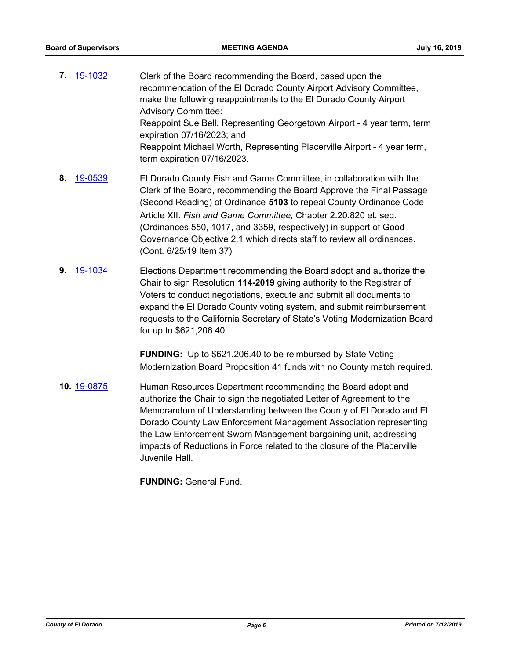- **7.** [19-1032](http://eldorado.legistar.com/gateway.aspx?m=l&id=/matter.aspx?key=26354) Clerk of the Board recommending the Board, based upon the recommendation of the El Dorado County Airport Advisory Committee, make the following reappointments to the El Dorado County Airport Advisory Committee: Reappoint Sue Bell, Representing Georgetown Airport - 4 year term, term expiration 07/16/2023; and Reappoint Michael Worth, Representing Placerville Airport - 4 year term, term expiration 07/16/2023.
- **8.** [19-0539](http://eldorado.legistar.com/gateway.aspx?m=l&id=/matter.aspx?key=25860) El Dorado County Fish and Game Committee, in collaboration with the Clerk of the Board, recommending the Board Approve the Final Passage (Second Reading) of Ordinance **5103** to repeal County Ordinance Code Article XII. *Fish and Game Committee,* Chapter 2.20.820 et. seq. (Ordinances 550, 1017, and 3359, respectively) in support of Good Governance Objective 2.1 which directs staff to review all ordinances. (Cont. 6/25/19 Item 37)
- **9.** [19-1034](http://eldorado.legistar.com/gateway.aspx?m=l&id=/matter.aspx?key=26356) Elections Department recommending the Board adopt and authorize the Chair to sign Resolution **114-2019** giving authority to the Registrar of Voters to conduct negotiations, execute and submit all documents to expand the El Dorado County voting system, and submit reimbursement requests to the California Secretary of State's Voting Modernization Board for up to \$621,206.40.

**FUNDING:** Up to \$621,206.40 to be reimbursed by State Voting Modernization Board Proposition 41 funds with no County match required.

**10.** [19-0875](http://eldorado.legistar.com/gateway.aspx?m=l&id=/matter.aspx?key=26198) Human Resources Department recommending the Board adopt and authorize the Chair to sign the negotiated Letter of Agreement to the Memorandum of Understanding between the County of El Dorado and El Dorado County Law Enforcement Management Association representing the Law Enforcement Sworn Management bargaining unit, addressing impacts of Reductions in Force related to the closure of the Placerville Juvenile Hall.

**FUNDING:** General Fund.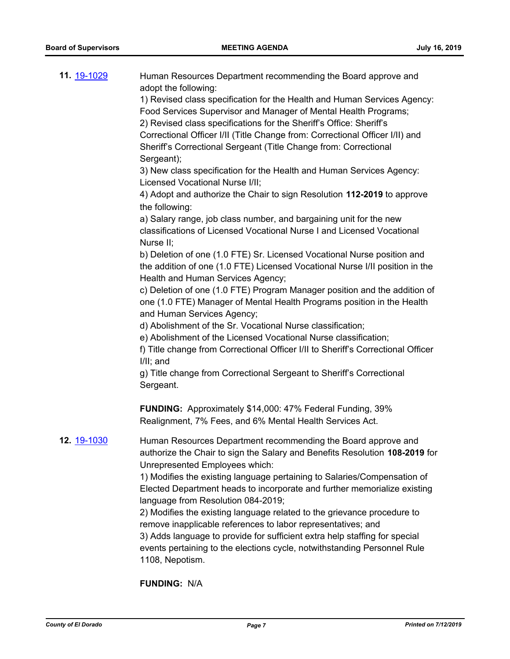| 11. 19-1029        | Human Resources Department recommending the Board approve and<br>adopt the following:<br>1) Revised class specification for the Health and Human Services Agency:<br>Food Services Supervisor and Manager of Mental Health Programs;<br>2) Revised class specifications for the Sheriff's Office: Sheriff's<br>Correctional Officer I/II (Title Change from: Correctional Officer I/II) and<br>Sheriff's Correctional Sergeant (Title Change from: Correctional<br>Sergeant);<br>3) New class specification for the Health and Human Services Agency:<br>Licensed Vocational Nurse I/II;<br>4) Adopt and authorize the Chair to sign Resolution 112-2019 to approve<br>the following:<br>a) Salary range, job class number, and bargaining unit for the new<br>classifications of Licensed Vocational Nurse I and Licensed Vocational<br>Nurse II;<br>b) Deletion of one (1.0 FTE) Sr. Licensed Vocational Nurse position and<br>the addition of one (1.0 FTE) Licensed Vocational Nurse I/II position in the<br>Health and Human Services Agency;<br>c) Deletion of one (1.0 FTE) Program Manager position and the addition of |
|--------------------|---------------------------------------------------------------------------------------------------------------------------------------------------------------------------------------------------------------------------------------------------------------------------------------------------------------------------------------------------------------------------------------------------------------------------------------------------------------------------------------------------------------------------------------------------------------------------------------------------------------------------------------------------------------------------------------------------------------------------------------------------------------------------------------------------------------------------------------------------------------------------------------------------------------------------------------------------------------------------------------------------------------------------------------------------------------------------------------------------------------------------------|
|                    | one (1.0 FTE) Manager of Mental Health Programs position in the Health<br>and Human Services Agency;                                                                                                                                                                                                                                                                                                                                                                                                                                                                                                                                                                                                                                                                                                                                                                                                                                                                                                                                                                                                                            |
|                    | d) Abolishment of the Sr. Vocational Nurse classification;                                                                                                                                                                                                                                                                                                                                                                                                                                                                                                                                                                                                                                                                                                                                                                                                                                                                                                                                                                                                                                                                      |
|                    | e) Abolishment of the Licensed Vocational Nurse classification;<br>f) Title change from Correctional Officer I/II to Sheriff's Correctional Officer<br>$I/II$ ; and                                                                                                                                                                                                                                                                                                                                                                                                                                                                                                                                                                                                                                                                                                                                                                                                                                                                                                                                                             |
|                    | g) Title change from Correctional Sergeant to Sheriff's Correctional<br>Sergeant.                                                                                                                                                                                                                                                                                                                                                                                                                                                                                                                                                                                                                                                                                                                                                                                                                                                                                                                                                                                                                                               |
|                    | <b>FUNDING:</b> Approximately \$14,000: 47% Federal Funding, 39%<br>Realignment, 7% Fees, and 6% Mental Health Services Act.                                                                                                                                                                                                                                                                                                                                                                                                                                                                                                                                                                                                                                                                                                                                                                                                                                                                                                                                                                                                    |
| 12. <u>19-1030</u> | Human Resources Department recommending the Board approve and<br>authorize the Chair to sign the Salary and Benefits Resolution 108-2019 for<br>Unrepresented Employees which:<br>1) Modifies the existing language pertaining to Salaries/Compensation of<br>Elected Department heads to incorporate and further memorialize existing<br>language from Resolution 084-2019;<br>2) Modifies the existing language related to the grievance procedure to<br>remove inapplicable references to labor representatives; and<br>3) Adds language to provide for sufficient extra help staffing for special<br>events pertaining to the elections cycle, notwithstanding Personnel Rule<br>1108, Nepotism.                                                                                                                                                                                                                                                                                                                                                                                                                            |

**FUNDING:** N/A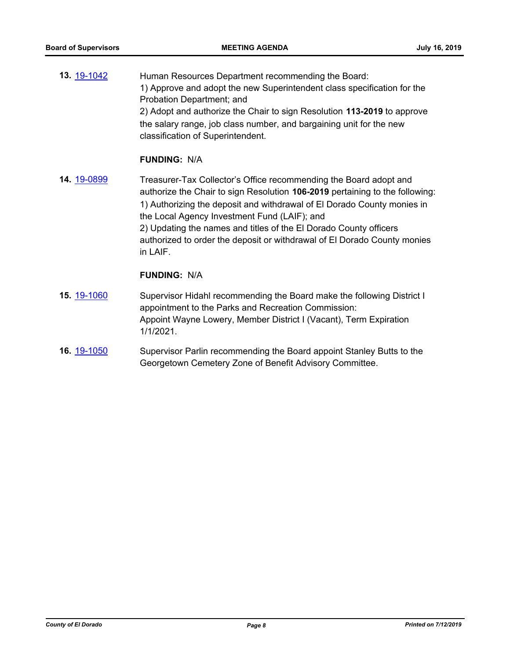**13.** [19-1042](http://eldorado.legistar.com/gateway.aspx?m=l&id=/matter.aspx?key=26364) Human Resources Department recommending the Board: 1) Approve and adopt the new Superintendent class specification for the Probation Department; and 2) Adopt and authorize the Chair to sign Resolution **113-2019** to approve the salary range, job class number, and bargaining unit for the new classification of Superintendent.

## **FUNDING:** N/A

**14.** [19-0899](http://eldorado.legistar.com/gateway.aspx?m=l&id=/matter.aspx?key=26222) Treasurer-Tax Collector's Office recommending the Board adopt and authorize the Chair to sign Resolution **106-2019** pertaining to the following: 1) Authorizing the deposit and withdrawal of El Dorado County monies in the Local Agency Investment Fund (LAIF); and 2) Updating the names and titles of the El Dorado County officers authorized to order the deposit or withdrawal of El Dorado County monies in LAIF.

### **FUNDING:** N/A

- **15.** [19-1060](http://eldorado.legistar.com/gateway.aspx?m=l&id=/matter.aspx?key=26382) Supervisor Hidahl recommending the Board make the following District I appointment to the Parks and Recreation Commission: Appoint Wayne Lowery, Member District I (Vacant), Term Expiration 1/1/2021.
- **16.** [19-1050](http://eldorado.legistar.com/gateway.aspx?m=l&id=/matter.aspx?key=26372) Supervisor Parlin recommending the Board appoint Stanley Butts to the Georgetown Cemetery Zone of Benefit Advisory Committee.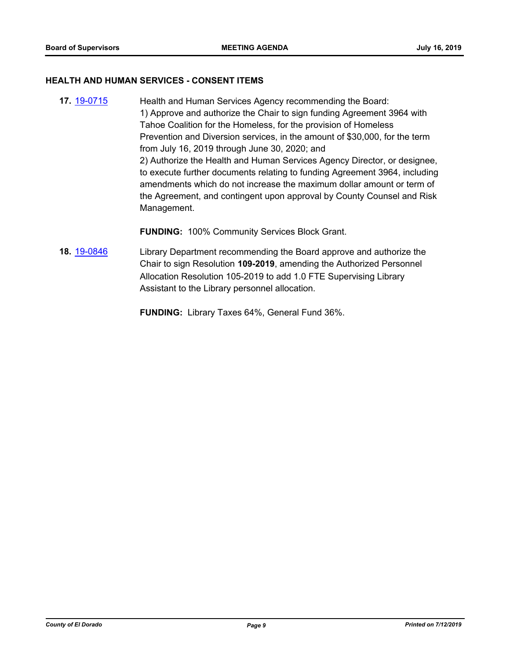#### **HEALTH AND HUMAN SERVICES - CONSENT ITEMS**

**17.** [19-0715](http://eldorado.legistar.com/gateway.aspx?m=l&id=/matter.aspx?key=26037) Health and Human Services Agency recommending the Board: 1) Approve and authorize the Chair to sign funding Agreement 3964 with Tahoe Coalition for the Homeless, for the provision of Homeless Prevention and Diversion services, in the amount of \$30,000, for the term from July 16, 2019 through June 30, 2020; and 2) Authorize the Health and Human Services Agency Director, or designee, to execute further documents relating to funding Agreement 3964, including amendments which do not increase the maximum dollar amount or term of the Agreement, and contingent upon approval by County Counsel and Risk Management.

**FUNDING:** 100% Community Services Block Grant.

- **18.** [19-0846](http://eldorado.legistar.com/gateway.aspx?m=l&id=/matter.aspx?key=26169) Library Department recommending the Board approve and authorize the Chair to sign Resolution **109-2019**, amending the Authorized Personnel Allocation Resolution 105-2019 to add 1.0 FTE Supervising Library Assistant to the Library personnel allocation.
	- **FUNDING:** Library Taxes 64%, General Fund 36%.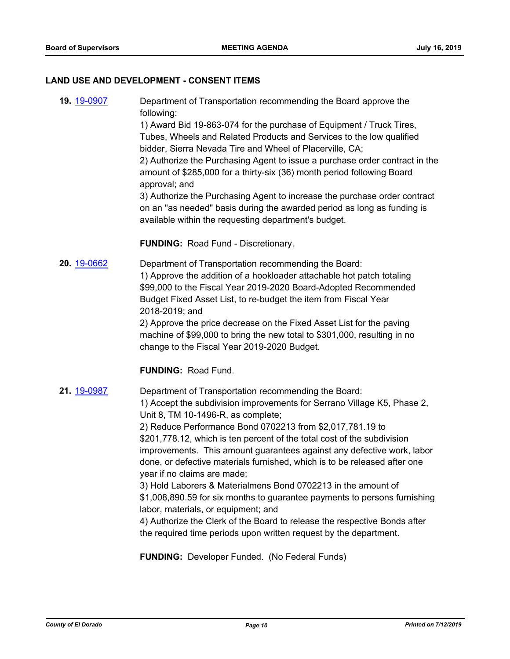#### **LAND USE AND DEVELOPMENT - CONSENT ITEMS**

**19.** [19-0907](http://eldorado.legistar.com/gateway.aspx?m=l&id=/matter.aspx?key=26230) Department of Transportation recommending the Board approve the following: 1) Award Bid 19-863-074 for the purchase of Equipment / Truck Tires, Tubes, Wheels and Related Products and Services to the low qualified bidder, Sierra Nevada Tire and Wheel of Placerville, CA; 2) Authorize the Purchasing Agent to issue a purchase order contract in the amount of \$285,000 for a thirty-six (36) month period following Board approval; and

> 3) Authorize the Purchasing Agent to increase the purchase order contract on an "as needed" basis during the awarded period as long as funding is available within the requesting department's budget.

**FUNDING:** Road Fund - Discretionary.

**20.** [19-0662](http://eldorado.legistar.com/gateway.aspx?m=l&id=/matter.aspx?key=25984) Department of Transportation recommending the Board: 1) Approve the addition of a hookloader attachable hot patch totaling \$99,000 to the Fiscal Year 2019-2020 Board-Adopted Recommended Budget Fixed Asset List, to re-budget the item from Fiscal Year 2018-2019; and

2) Approve the price decrease on the Fixed Asset List for the paving machine of \$99,000 to bring the new total to \$301,000, resulting in no change to the Fiscal Year 2019-2020 Budget.

**FUNDING:** Road Fund.

**21.** [19-0987](http://eldorado.legistar.com/gateway.aspx?m=l&id=/matter.aspx?key=26310) Department of Transportation recommending the Board: 1) Accept the subdivision improvements for Serrano Village K5, Phase 2, Unit 8, TM 10-1496-R, as complete; 2) Reduce Performance Bond 0702213 from \$2,017,781.19 to \$201,778.12, which is ten percent of the total cost of the subdivision improvements. This amount guarantees against any defective work, labor done, or defective materials furnished, which is to be released after one year if no claims are made; 3) Hold Laborers & Materialmens Bond 0702213 in the amount of \$1,008,890.59 for six months to guarantee payments to persons furnishing labor, materials, or equipment; and 4) Authorize the Clerk of the Board to release the respective Bonds after the required time periods upon written request by the department.

**FUNDING:** Developer Funded. (No Federal Funds)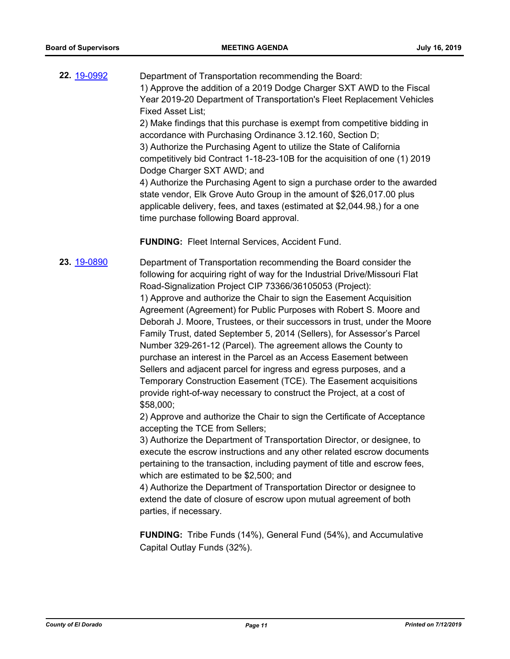| 22. 19-0992 | Department of Transportation recommending the Board:                       |
|-------------|----------------------------------------------------------------------------|
|             | 1) Approve the addition of a 2019 Dodge Charger SXT AWD to the Fiscal      |
|             | Year 2019-20 Department of Transportation's Fleet Replacement Vehicles     |
|             | <b>Fixed Asset List:</b>                                                   |
|             | 2) Make findings that this purchase is exempt from competitive bidding in  |
|             | accordance with Purchasing Ordinance 3.12.160, Section D;                  |
|             | 3) Authorize the Purchasing Agent to utilize the State of California       |
|             | competitively bid Contract 1-18-23-10B for the acquisition of one (1) 2019 |
|             | Dodge Charger SXT AWD; and                                                 |
|             | 4) Authorize the Purchasing Agent to sign a purchase order to the awarded  |
|             | state vendor, Elk Grove Auto Group in the amount of \$26,017.00 plus       |
|             | applicable delivery, fees, and taxes (estimated at \$2,044.98,) for a one  |
|             | time purchase following Board approval.                                    |
|             |                                                                            |
|             | <b>FUNDING: Fleet Internal Services, Accident Fund.</b>                    |

**23.** [19-0890](http://eldorado.legistar.com/gateway.aspx?m=l&id=/matter.aspx?key=26213) Department of Transportation recommending the Board consider the following for acquiring right of way for the Industrial Drive/Missouri Flat Road-Signalization Project CIP 73366/36105053 (Project): 1) Approve and authorize the Chair to sign the Easement Acquisition Agreement (Agreement) for Public Purposes with Robert S. Moore and Deborah J. Moore, Trustees, or their successors in trust, under the Moore Family Trust, dated September 5, 2014 (Sellers), for Assessor's Parcel Number 329-261-12 (Parcel). The agreement allows the County to purchase an interest in the Parcel as an Access Easement between Sellers and adjacent parcel for ingress and egress purposes, and a Temporary Construction Easement (TCE). The Easement acquisitions provide right-of-way necessary to construct the Project, at a cost of \$58,000;

2) Approve and authorize the Chair to sign the Certificate of Acceptance accepting the TCE from Sellers;

3) Authorize the Department of Transportation Director, or designee, to execute the escrow instructions and any other related escrow documents pertaining to the transaction, including payment of title and escrow fees, which are estimated to be \$2,500; and

4) Authorize the Department of Transportation Director or designee to extend the date of closure of escrow upon mutual agreement of both parties, if necessary.

**FUNDING:** Tribe Funds (14%), General Fund (54%), and Accumulative Capital Outlay Funds (32%).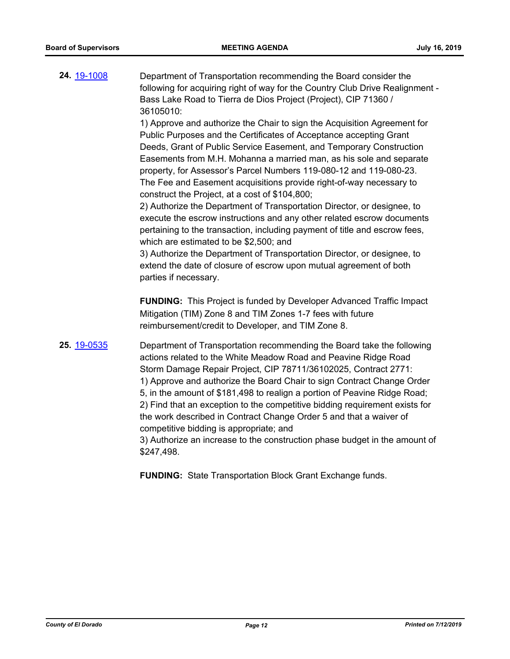| 24. 19-1008 | Department of Transportation recommending the Board consider the<br>following for acquiring right of way for the Country Club Drive Realignment -<br>Bass Lake Road to Tierra de Dios Project (Project), CIP 71360 /<br>36105010:<br>1) Approve and authorize the Chair to sign the Acquisition Agreement for<br>Public Purposes and the Certificates of Acceptance accepting Grant<br>Deeds, Grant of Public Service Easement, and Temporary Construction<br>Easements from M.H. Mohanna a married man, as his sole and separate<br>property, for Assessor's Parcel Numbers 119-080-12 and 119-080-23.<br>The Fee and Easement acquisitions provide right-of-way necessary to<br>construct the Project, at a cost of \$104,800;<br>2) Authorize the Department of Transportation Director, or designee, to<br>execute the escrow instructions and any other related escrow documents<br>pertaining to the transaction, including payment of title and escrow fees,<br>which are estimated to be \$2,500; and<br>3) Authorize the Department of Transportation Director, or designee, to<br>extend the date of closure of escrow upon mutual agreement of both<br>parties if necessary. |
|-------------|-----------------------------------------------------------------------------------------------------------------------------------------------------------------------------------------------------------------------------------------------------------------------------------------------------------------------------------------------------------------------------------------------------------------------------------------------------------------------------------------------------------------------------------------------------------------------------------------------------------------------------------------------------------------------------------------------------------------------------------------------------------------------------------------------------------------------------------------------------------------------------------------------------------------------------------------------------------------------------------------------------------------------------------------------------------------------------------------------------------------------------------------------------------------------------------------|
|             | <b>FUNDING:</b> This Project is funded by Developer Advanced Traffic Impact<br>Mitigation (TIM) Zone 8 and TIM Zones 1-7 fees with future<br>reimbursement/credit to Developer, and TIM Zone 8.                                                                                                                                                                                                                                                                                                                                                                                                                                                                                                                                                                                                                                                                                                                                                                                                                                                                                                                                                                                         |
| 25. 19-0535 | Department of Transportation recommending the Board take the following<br>actions related to the White Meadow Road and Peavine Ridge Road<br>Storm Damage Repair Project, CIP 78711/36102025, Contract 2771:<br>1) Approve and authorize the Board Chair to sign Contract Change Order<br>5, in the amount of \$181,498 to realign a portion of Peavine Ridge Road;<br>2) Find that an exception to the competitive bidding requirement exists for<br>the work described in Contract Change Order 5 and that a waiver of<br>competitive bidding is appropriate; and<br>3) Authorize an increase to the construction phase budget in the amount of<br>\$247,498.                                                                                                                                                                                                                                                                                                                                                                                                                                                                                                                         |

**FUNDING:** State Transportation Block Grant Exchange funds.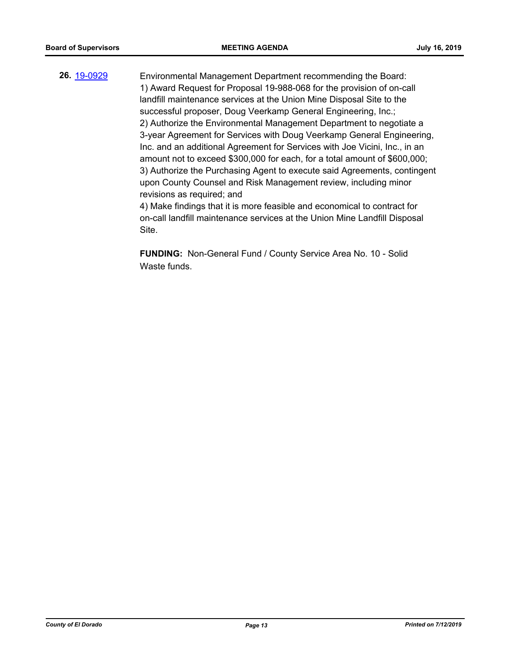**26.** [19-0929](http://eldorado.legistar.com/gateway.aspx?m=l&id=/matter.aspx?key=26252) Environmental Management Department recommending the Board: 1) Award Request for Proposal 19-988-068 for the provision of on-call landfill maintenance services at the Union Mine Disposal Site to the successful proposer, Doug Veerkamp General Engineering, Inc.; 2) Authorize the Environmental Management Department to negotiate a 3-year Agreement for Services with Doug Veerkamp General Engineering, Inc. and an additional Agreement for Services with Joe Vicini, Inc., in an amount not to exceed \$300,000 for each, for a total amount of \$600,000; 3) Authorize the Purchasing Agent to execute said Agreements, contingent upon County Counsel and Risk Management review, including minor revisions as required; and 4) Make findings that it is more feasible and economical to contract for

on-call landfill maintenance services at the Union Mine Landfill Disposal Site.

**FUNDING:** Non-General Fund / County Service Area No. 10 - Solid Waste funds.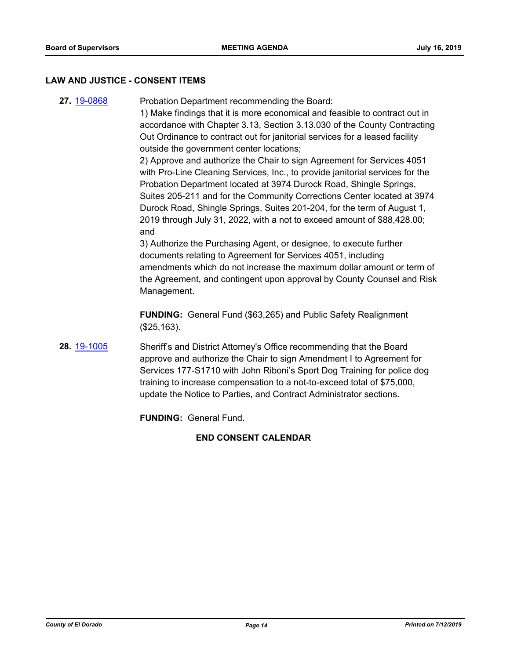#### **LAW AND JUSTICE - CONSENT ITEMS**

**27.** [19-0868](http://eldorado.legistar.com/gateway.aspx?m=l&id=/matter.aspx?key=26191) Probation Department recommending the Board: 1) Make findings that it is more economical and feasible to contract out in accordance with Chapter 3.13, Section 3.13.030 of the County Contracting Out Ordinance to contract out for janitorial services for a leased facility outside the government center locations; 2) Approve and authorize the Chair to sign Agreement for Services 4051 with Pro-Line Cleaning Services, Inc., to provide janitorial services for the Probation Department located at 3974 Durock Road, Shingle Springs, Suites 205-211 and for the Community Corrections Center located at 3974 Durock Road, Shingle Springs, Suites 201-204, for the term of August 1, 2019 through July 31, 2022, with a not to exceed amount of \$88,428.00; and

3) Authorize the Purchasing Agent, or designee, to execute further documents relating to Agreement for Services 4051, including amendments which do not increase the maximum dollar amount or term of the Agreement, and contingent upon approval by County Counsel and Risk Management.

**FUNDING:** General Fund (\$63,265) and Public Safety Realignment (\$25,163).

**28.** [19-1005](http://eldorado.legistar.com/gateway.aspx?m=l&id=/matter.aspx?key=26327) Sheriff's and District Attorney's Office recommending that the Board approve and authorize the Chair to sign Amendment I to Agreement for Services 177-S1710 with John Riboni's Sport Dog Training for police dog training to increase compensation to a not-to-exceed total of \$75,000, update the Notice to Parties, and Contract Administrator sections.

**FUNDING:** General Fund.

## **END CONSENT CALENDAR**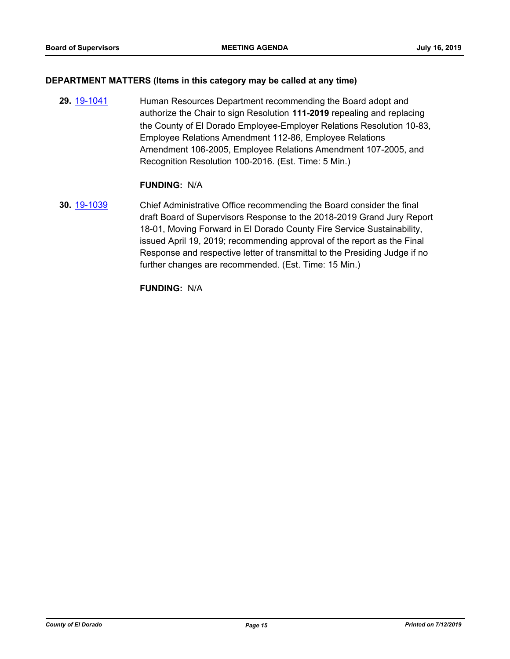#### **DEPARTMENT MATTERS (Items in this category may be called at any time)**

**29.** [19-1041](http://eldorado.legistar.com/gateway.aspx?m=l&id=/matter.aspx?key=26363) Human Resources Department recommending the Board adopt and authorize the Chair to sign Resolution **111-2019** repealing and replacing the County of El Dorado Employee-Employer Relations Resolution 10-83, Employee Relations Amendment 112-86, Employee Relations Amendment 106-2005, Employee Relations Amendment 107-2005, and Recognition Resolution 100-2016. (Est. Time: 5 Min.)

#### **FUNDING:** N/A

**30.** [19-1039](http://eldorado.legistar.com/gateway.aspx?m=l&id=/matter.aspx?key=26361) Chief Administrative Office recommending the Board consider the final draft Board of Supervisors Response to the 2018-2019 Grand Jury Report 18-01, Moving Forward in El Dorado County Fire Service Sustainability, issued April 19, 2019; recommending approval of the report as the Final Response and respective letter of transmittal to the Presiding Judge if no further changes are recommended. (Est. Time: 15 Min.)

**FUNDING:** N/A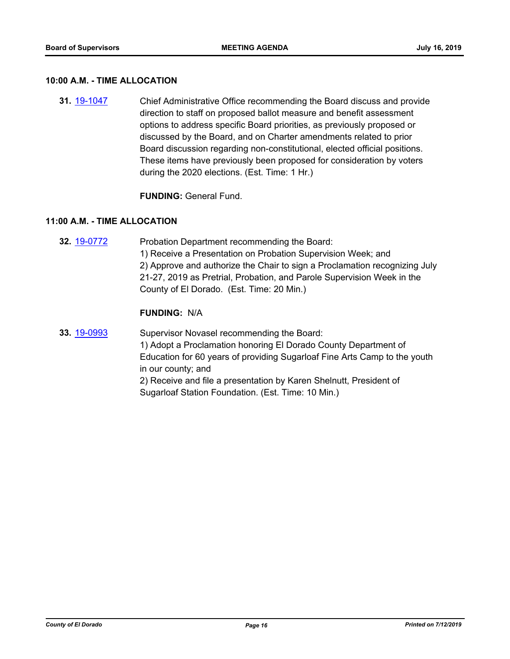#### **10:00 A.M. - TIME ALLOCATION**

**31.** [19-1047](http://eldorado.legistar.com/gateway.aspx?m=l&id=/matter.aspx?key=26369) Chief Administrative Office recommending the Board discuss and provide direction to staff on proposed ballot measure and benefit assessment options to address specific Board priorities, as previously proposed or discussed by the Board, and on Charter amendments related to prior Board discussion regarding non-constitutional, elected official positions. These items have previously been proposed for consideration by voters during the 2020 elections. (Est. Time: 1 Hr.)

**FUNDING:** General Fund.

#### **11:00 A.M. - TIME ALLOCATION**

**32.** [19-0772](http://eldorado.legistar.com/gateway.aspx?m=l&id=/matter.aspx?key=26094) Probation Department recommending the Board: 1) Receive a Presentation on Probation Supervision Week; and 2) Approve and authorize the Chair to sign a Proclamation recognizing July 21-27, 2019 as Pretrial, Probation, and Parole Supervision Week in the County of El Dorado. (Est. Time: 20 Min.)

## **FUNDING:** N/A

**33.** [19-0993](http://eldorado.legistar.com/gateway.aspx?m=l&id=/matter.aspx?key=26316) Supervisor Novasel recommending the Board: 1) Adopt a Proclamation honoring El Dorado County Department of Education for 60 years of providing Sugarloaf Fine Arts Camp to the youth in our county; and 2) Receive and file a presentation by Karen Shelnutt, President of Sugarloaf Station Foundation. (Est. Time: 10 Min.)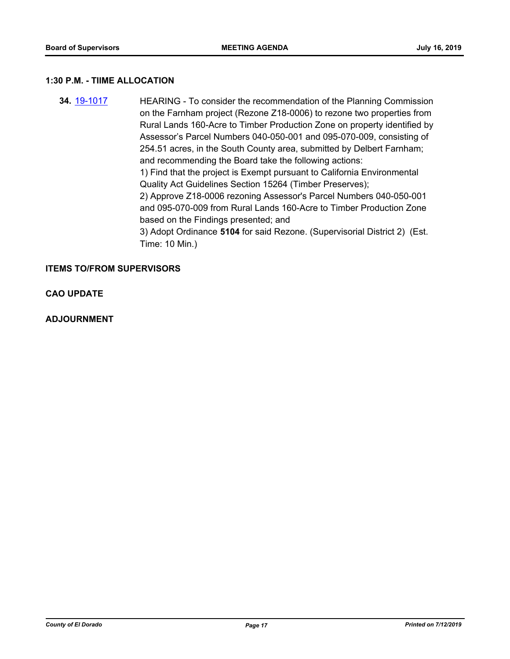#### **1:30 P.M. - TIIME ALLOCATION**

**34.** [19-1017](http://eldorado.legistar.com/gateway.aspx?m=l&id=/matter.aspx?key=26339) HEARING - To consider the recommendation of the Planning Commission on the Farnham project (Rezone Z18-0006) to rezone two properties from Rural Lands 160-Acre to Timber Production Zone on property identified by Assessor's Parcel Numbers 040-050-001 and 095-070-009, consisting of 254.51 acres, in the South County area, submitted by Delbert Farnham; and recommending the Board take the following actions: 1) Find that the project is Exempt pursuant to California Environmental Quality Act Guidelines Section 15264 (Timber Preserves); 2) Approve Z18-0006 rezoning Assessor's Parcel Numbers 040-050-001 and 095-070-009 from Rural Lands 160-Acre to Timber Production Zone based on the Findings presented; and 3) Adopt Ordinance **5104** for said Rezone. (Supervisorial District 2) (Est. Time: 10 Min.)

#### **ITEMS TO/FROM SUPERVISORS**

**CAO UPDATE**

**ADJOURNMENT**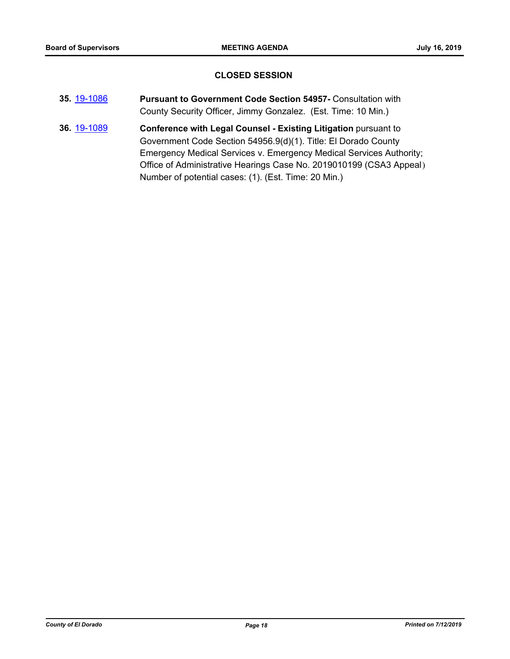## **CLOSED SESSION**

- **35.** [19-1086](http://eldorado.legistar.com/gateway.aspx?m=l&id=/matter.aspx?key=26408) **Pursuant to Government Code Section 54957-** Consultation with County Security Officer, Jimmy Gonzalez. (Est. Time: 10 Min.)
- **36.** [19-1089](http://eldorado.legistar.com/gateway.aspx?m=l&id=/matter.aspx?key=26411) **Conference with Legal Counsel - Existing Litigation** pursuant to Government Code Section 54956.9(d)(1). Title: El Dorado County Emergency Medical Services v. Emergency Medical Services Authority; Office of Administrative Hearings Case No. 2019010199 (CSA3 Appeal) Number of potential cases: (1). (Est. Time: 20 Min.)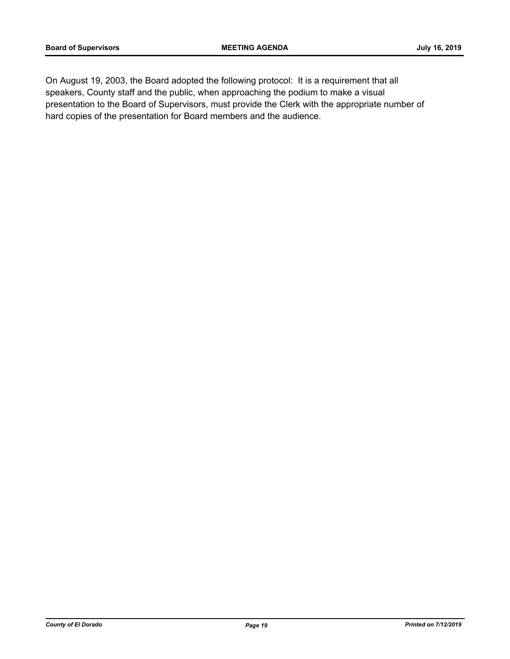On August 19, 2003, the Board adopted the following protocol: It is a requirement that all speakers, County staff and the public, when approaching the podium to make a visual presentation to the Board of Supervisors, must provide the Clerk with the appropriate number of hard copies of the presentation for Board members and the audience.